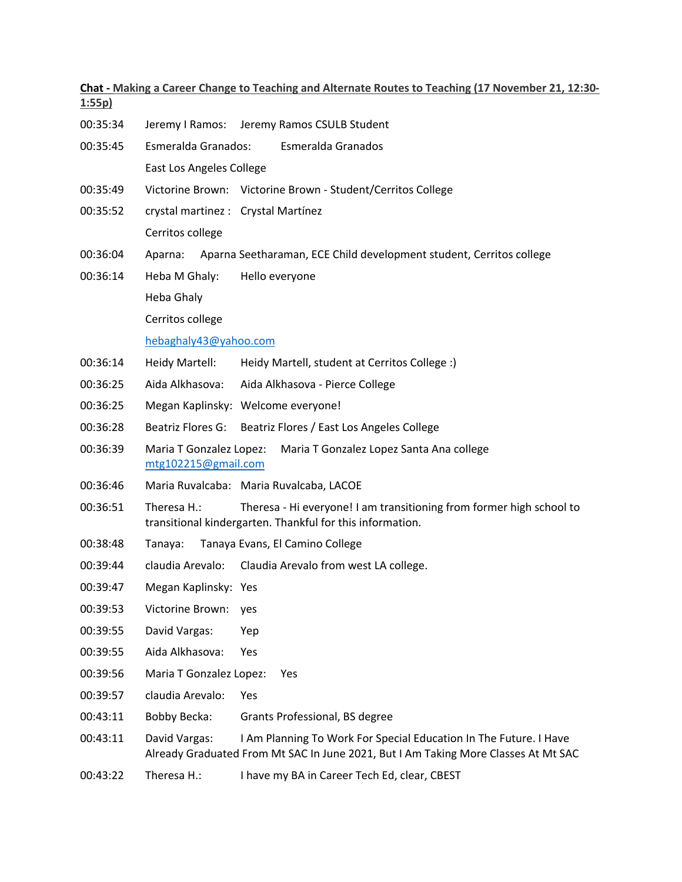| 1:55p    | Chat - Making a Career Change to Teaching and Alternate Routes to Teaching (17 November 21, 12:30-                                                                       |  |  |
|----------|--------------------------------------------------------------------------------------------------------------------------------------------------------------------------|--|--|
| 00:35:34 | Jeremy I Ramos: Jeremy Ramos CSULB Student                                                                                                                               |  |  |
| 00:35:45 | Esmeralda Granados:<br><b>Esmeralda Granados</b>                                                                                                                         |  |  |
|          | East Los Angeles College                                                                                                                                                 |  |  |
| 00:35:49 | Victorine Brown: Victorine Brown - Student/Cerritos College                                                                                                              |  |  |
| 00:35:52 | crystal martinez : Crystal Martínez                                                                                                                                      |  |  |
|          | Cerritos college                                                                                                                                                         |  |  |
| 00:36:04 | Aparna Seetharaman, ECE Child development student, Cerritos college<br>Aparna:                                                                                           |  |  |
| 00:36:14 | Heba M Ghaly:<br>Hello everyone                                                                                                                                          |  |  |
|          | Heba Ghaly                                                                                                                                                               |  |  |
|          | Cerritos college                                                                                                                                                         |  |  |
|          | hebaghaly43@yahoo.com                                                                                                                                                    |  |  |
| 00:36:14 | Heidy Martell:<br>Heidy Martell, student at Cerritos College :)                                                                                                          |  |  |
| 00:36:25 | Aida Alkhasova:<br>Aida Alkhasova - Pierce College                                                                                                                       |  |  |
| 00:36:25 | Megan Kaplinsky: Welcome everyone!                                                                                                                                       |  |  |
| 00:36:28 | Beatriz Flores G:<br>Beatriz Flores / East Los Angeles College                                                                                                           |  |  |
| 00:36:39 | Maria T Gonzalez Lopez:<br>Maria T Gonzalez Lopez Santa Ana college<br>mtg102215@gmail.com                                                                               |  |  |
| 00:36:46 | Maria Ruvalcaba: Maria Ruvalcaba, LACOE                                                                                                                                  |  |  |
| 00:36:51 | Theresa H.:<br>Theresa - Hi everyone! I am transitioning from former high school to<br>transitional kindergarten. Thankful for this information.                         |  |  |
| 00:38:48 | Tanaya Evans, El Camino College<br>Tanaya:                                                                                                                               |  |  |
| 00:39:44 | claudia Arevalo: Claudia Arevalo from west LA college.                                                                                                                   |  |  |
| 00:39:47 | Megan Kaplinsky: Yes                                                                                                                                                     |  |  |
| 00:39:53 | Victorine Brown:<br>yes                                                                                                                                                  |  |  |
| 00:39:55 | David Vargas:<br>Yep                                                                                                                                                     |  |  |
| 00:39:55 | Aida Alkhasova:<br>Yes                                                                                                                                                   |  |  |
| 00:39:56 | Maria T Gonzalez Lopez:<br>Yes                                                                                                                                           |  |  |
| 00:39:57 | claudia Arevalo:<br>Yes                                                                                                                                                  |  |  |
| 00:43:11 | <b>Bobby Becka:</b><br>Grants Professional, BS degree                                                                                                                    |  |  |
| 00:43:11 | David Vargas:<br>I Am Planning To Work For Special Education In The Future. I Have<br>Already Graduated From Mt SAC In June 2021, But I Am Taking More Classes At Mt SAC |  |  |
| 00:43:22 | Theresa H.:<br>I have my BA in Career Tech Ed, clear, CBEST                                                                                                              |  |  |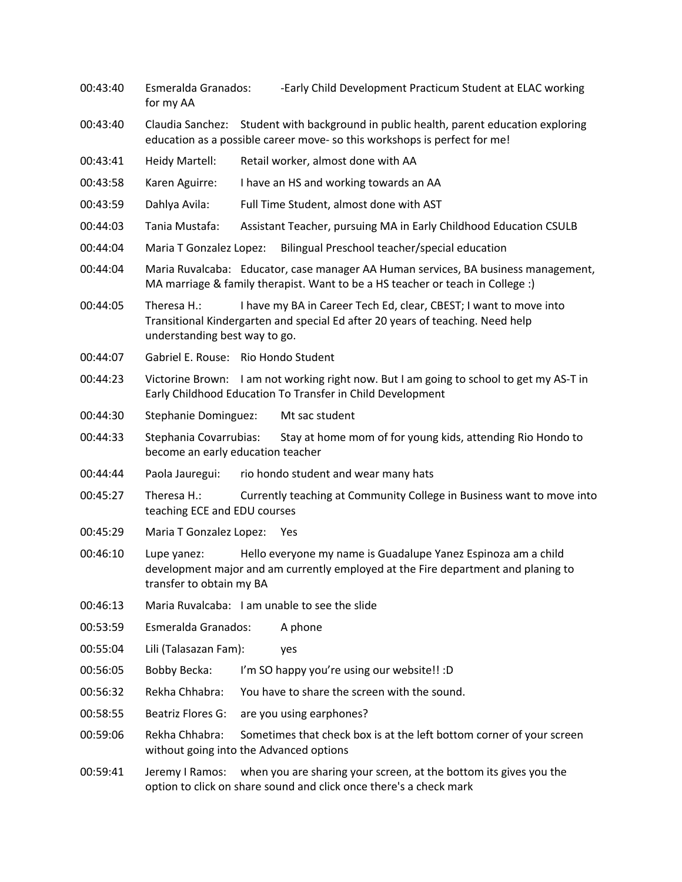00:43:40 Esmeralda Granados: -Early Child Development Practicum Student at ELAC working for my AA 00:43:40 Claudia Sanchez: Student with background in public health, parent education exploring education as a possible career move- so this workshops is perfect for me! 00:43:41 Heidy Martell: Retail worker, almost done with AA 00:43:58 Karen Aguirre: I have an HS and working towards an AA 00:43:59 Dahlya Avila: Full Time Student, almost done with AST 00:44:03 Tania Mustafa: Assistant Teacher, pursuing MA in Early Childhood Education CSULB 00:44:04 Maria T Gonzalez Lopez: Bilingual Preschool teacher/special education 00:44:04 Maria Ruvalcaba: Educator, case manager AA Human services, BA business management, MA marriage & family therapist. Want to be a HS teacher or teach in College :) 00:44:05 Theresa H.: I have my BA in Career Tech Ed, clear, CBEST; I want to move into Transitional Kindergarten and special Ed after 20 years of teaching. Need help understanding best way to go. 00:44:07 Gabriel E. Rouse: Rio Hondo Student 00:44:23 Victorine Brown: I am not working right now. But I am going to school to get my AS-T in Early Childhood Education To Transfer in Child Development 00:44:30 Stephanie Dominguez: Mt sac student 00:44:33 Stephania Covarrubias: Stay at home mom of for young kids, attending Rio Hondo to become an early education teacher 00:44:44 Paola Jauregui: rio hondo student and wear many hats 00:45:27 Theresa H.: Currently teaching at Community College in Business want to move into teaching ECE and EDU courses 00:45:29 Maria T Gonzalez Lopez: Yes 00:46:10 Lupe yanez: Hello everyone my name is Guadalupe Yanez Espinoza am a child development major and am currently employed at the Fire department and planing to transfer to obtain my BA 00:46:13 Maria Ruvalcaba: I am unable to see the slide 00:53:59 Esmeralda Granados: A phone 00:55:04 Lili (Talasazan Fam): yes 00:56:05 Bobby Becka: I'm SO happy you're using our website!! :D 00:56:32 Rekha Chhabra: You have to share the screen with the sound. 00:58:55 Beatriz Flores G: are you using earphones? 00:59:06 Rekha Chhabra: Sometimes that check box is at the left bottom corner of your screen without going into the Advanced options 00:59:41 Jeremy I Ramos: when you are sharing your screen, at the bottom its gives you the option to click on share sound and click once there's a check mark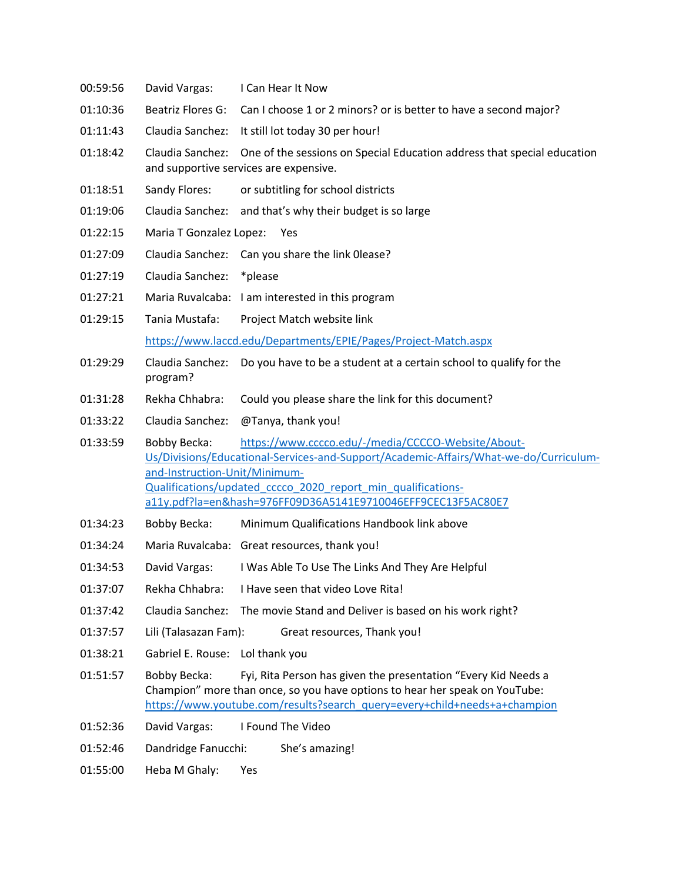00:59:56 David Vargas: I Can Hear It Now 01:10:36 Beatriz Flores G: Can I choose 1 or 2 minors? or is better to have a second major? 01:11:43 Claudia Sanchez: It still lot today 30 per hour! 01:18:42 Claudia Sanchez: One of the sessions on Special Education address that special education and supportive services are expensive. 01:18:51 Sandy Flores: or subtitling for school districts 01:19:06 Claudia Sanchez: and that's why their budget is so large 01:22:15 Maria T Gonzalez Lopez: Yes 01:27:09 Claudia Sanchez: Can you share the link 0lease? 01:27:19 Claudia Sanchez: \*please 01:27:21 Maria Ruvalcaba: I am interested in this program 01:29:15 Tania Mustafa: Project Match website link https://www.laccd.edu/Departments/EPIE/Pages/Project-Match.aspx 01:29:29 Claudia Sanchez: Do you have to be a student at a certain school to qualify for the program? 01:31:28 Rekha Chhabra: Could you please share the link for this document? 01:33:22 Claudia Sanchez: @Tanya, thank you! 01:33:59 Bobby Becka: https://www.cccco.edu/-/media/CCCCO-Website/About-Us/Divisions/Educational-Services-and-Support/Academic-Affairs/What-we-do/Curriculumand-Instruction-Unit/Minimum-Qualifications/updated\_cccco\_2020\_report\_min\_qualificationsa11y.pdf?la=en&hash=976FF09D36A5141E9710046EFF9CEC13F5AC80E7 01:34:23 Bobby Becka: Minimum Qualifications Handbook link above 01:34:24 Maria Ruvalcaba: Great resources, thank you! 01:34:53 David Vargas: I Was Able To Use The Links And They Are Helpful 01:37:07 Rekha Chhabra: I Have seen that video Love Rita! 01:37:42 Claudia Sanchez: The movie Stand and Deliver is based on his work right? 01:37:57 Lili (Talasazan Fam): Great resources, Thank you! 01:38:21 Gabriel E. Rouse: Lol thank you 01:51:57 Bobby Becka: Fyi, Rita Person has given the presentation "Every Kid Needs a Champion" more than once, so you have options to hear her speak on YouTube: https://www.youtube.com/results?search\_query=every+child+needs+a+champion 01:52:36 David Vargas: I Found The Video 01:52:46 Dandridge Fanucchi: She's amazing! 01:55:00 Heba M Ghaly: Yes